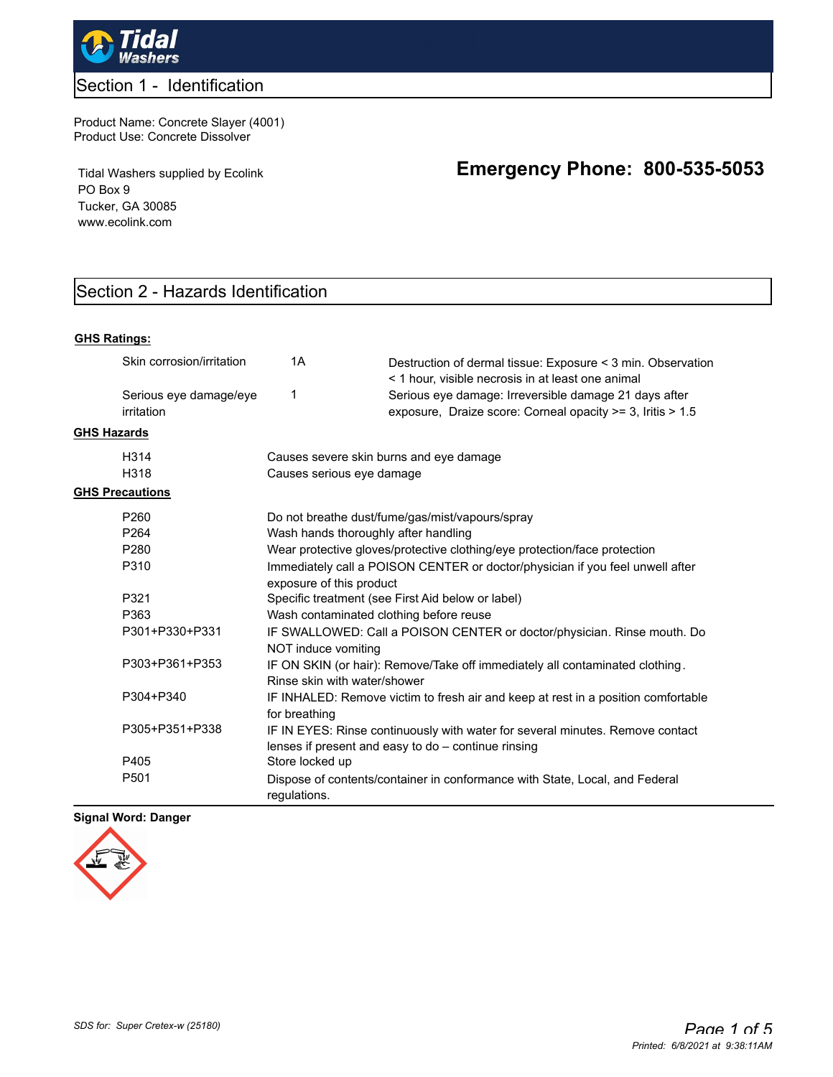

## Section 1 - Identification

Product Name: Concrete Slayer (4001) Product Use: Concrete Dissolver

Tidal Washers supplied by Ecolink PO Box 9 Tucker, GA 30085 www.ecolink.com

# **Emergency Phone: 800-535-5053**

# Section 2 - Hazards Identification

#### **GHS Ratings:**

|                    | Skin corrosion/irritation            | 1A                                                                                                           | Destruction of dermal tissue: Exposure < 3 min. Observation<br>< 1 hour, visible necrosis in at least one animal                     |  |  |  |
|--------------------|--------------------------------------|--------------------------------------------------------------------------------------------------------------|--------------------------------------------------------------------------------------------------------------------------------------|--|--|--|
|                    | Serious eye damage/eye<br>irritation | 1                                                                                                            | Serious eye damage: Irreversible damage 21 days after<br>exposure, Draize score: Corneal opacity >= 3, Iritis > 1.5                  |  |  |  |
| <b>GHS Hazards</b> |                                      |                                                                                                              |                                                                                                                                      |  |  |  |
|                    | H <sub>3</sub> 14                    | Causes severe skin burns and eye damage                                                                      |                                                                                                                                      |  |  |  |
|                    | H318                                 | Causes serious eye damage                                                                                    |                                                                                                                                      |  |  |  |
|                    | <b>GHS Precautions</b>               |                                                                                                              |                                                                                                                                      |  |  |  |
|                    | P <sub>260</sub>                     | Do not breathe dust/fume/gas/mist/vapours/spray                                                              |                                                                                                                                      |  |  |  |
|                    | P <sub>264</sub>                     | Wash hands thoroughly after handling                                                                         |                                                                                                                                      |  |  |  |
|                    | P <sub>280</sub>                     | Wear protective gloves/protective clothing/eye protection/face protection                                    |                                                                                                                                      |  |  |  |
|                    | P310                                 | Immediately call a POISON CENTER or doctor/physician if you feel unwell after<br>exposure of this product    |                                                                                                                                      |  |  |  |
|                    | P321                                 | Specific treatment (see First Aid below or label)                                                            |                                                                                                                                      |  |  |  |
|                    | P363                                 | Wash contaminated clothing before reuse                                                                      |                                                                                                                                      |  |  |  |
|                    | P301+P330+P331                       | IF SWALLOWED: Call a POISON CENTER or doctor/physician. Rinse mouth. Do<br>NOT induce vomiting               |                                                                                                                                      |  |  |  |
|                    | P303+P361+P353                       | IF ON SKIN (or hair): Remove/Take off immediately all contaminated clothing.<br>Rinse skin with water/shower |                                                                                                                                      |  |  |  |
|                    | P304+P340                            | IF INHALED: Remove victim to fresh air and keep at rest in a position comfortable<br>for breathing           |                                                                                                                                      |  |  |  |
|                    | P305+P351+P338                       |                                                                                                              | IF IN EYES: Rinse continuously with water for several minutes. Remove contact<br>lenses if present and easy to do - continue rinsing |  |  |  |
|                    | P405                                 | Store locked up                                                                                              |                                                                                                                                      |  |  |  |
|                    | P <sub>501</sub>                     | regulations.                                                                                                 | Dispose of contents/container in conformance with State, Local, and Federal                                                          |  |  |  |

### **Signal Word: Danger**

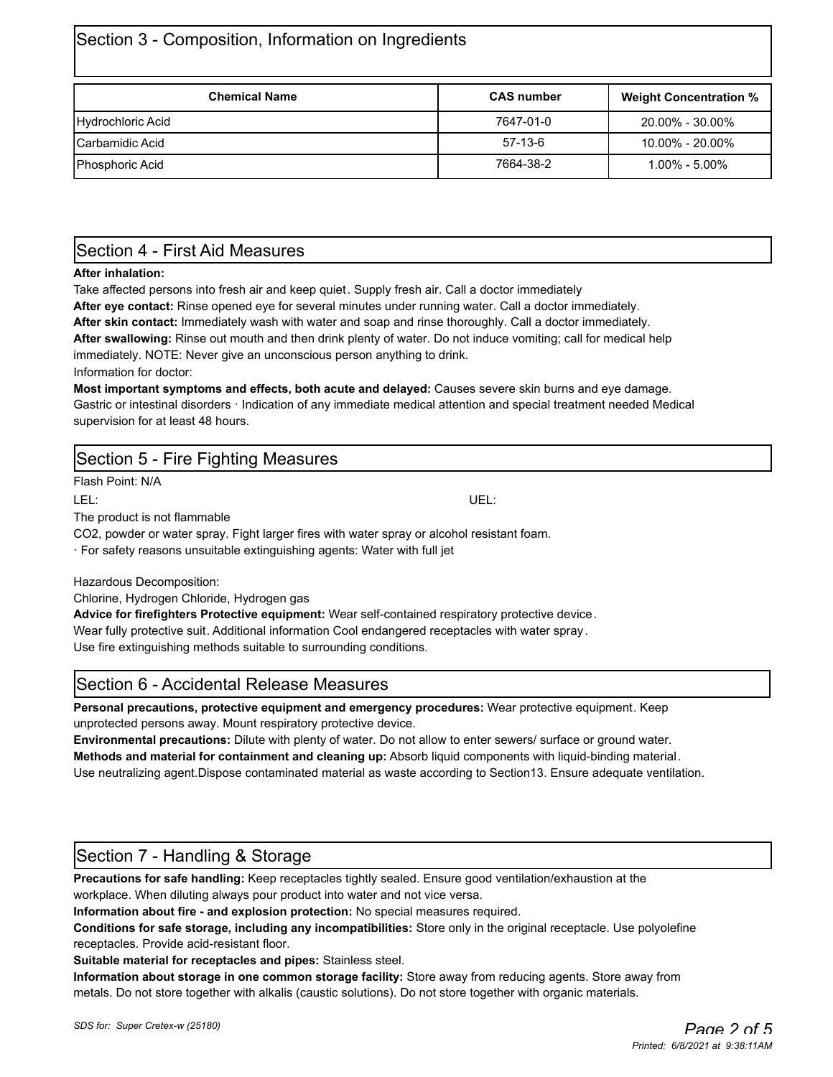# Section 3 - Composition, Information on Ingredients

| <b>Chemical Name</b>   | <b>CAS number</b> | <b>Weight Concentration %</b> |
|------------------------|-------------------|-------------------------------|
| Hydrochloric Acid      | 7647-01-0         | $20.00\%$ - 30.00%            |
| <b>Carbamidic Acid</b> | $57-13-6$         | $10.00\%$ - 20.00%            |
| <b>Phosphoric Acid</b> | 7664-38-2         | $1.00\%$ - $5.00\%$           |

### Section 4 - First Aid Measures

### **After inhalation:**

Take affected persons into fresh air and keep quiet. Supply fresh air. Call a doctor immediately

**After eye contact:** Rinse opened eye for several minutes under running water. Call a doctor immediately.

**After skin contact:** Immediately wash with water and soap and rinse thoroughly. Call a doctor immediately.

**After swallowing:** Rinse out mouth and then drink plenty of water. Do not induce vomiting; call for medical help immediately. NOTE: Never give an unconscious person anything to drink.

Information for doctor:

**Most important symptoms and effects, both acute and delayed:** Causes severe skin burns and eye damage. Gastric or intestinal disorders · Indication of any immediate medical attention and special treatment needed Medical supervision for at least 48 hours.

### Section 5 - Fire Fighting Measures

Flash Point: N/A

The product is not flammable

CO2, powder or water spray. Fight larger fires with water spray or alcohol resistant foam.

· For safety reasons unsuitable extinguishing agents: Water with full jet

Hazardous Decomposition:

Chlorine, Hydrogen Chloride, Hydrogen gas

**Advice for firefighters Protective equipment:** Wear self-contained respiratory protective device. Wear fully protective suit. Additional information Cool endangered receptacles with water spray . Use fire extinguishing methods suitable to surrounding conditions.

### Section 6 - Accidental Release Measures

**Personal precautions, protective equipment and emergency procedures:** Wear protective equipment. Keep unprotected persons away. Mount respiratory protective device.

**Environmental precautions:** Dilute with plenty of water. Do not allow to enter sewers/ surface or ground water. **Methods and material for containment and cleaning up:** Absorb liquid components with liquid-binding material. Use neutralizing agent.Dispose contaminated material as waste according to Section13. Ensure adequate ventilation.

### Section 7 - Handling & Storage

**Precautions for safe handling:** Keep receptacles tightly sealed. Ensure good ventilation/exhaustion at the workplace. When diluting always pour product into water and not vice versa.

**Information about fire - and explosion protection:** No special measures required.

**Conditions for safe storage, including any incompatibilities:** Store only in the original receptacle. Use polyolefine receptacles. Provide acid-resistant floor.

**Suitable material for receptacles and pipes:** Stainless steel.

**Information about storage in one common storage facility:** Store away from reducing agents. Store away from metals. Do not store together with alkalis (caustic solutions). Do not store together with organic materials.

LEL: UEL: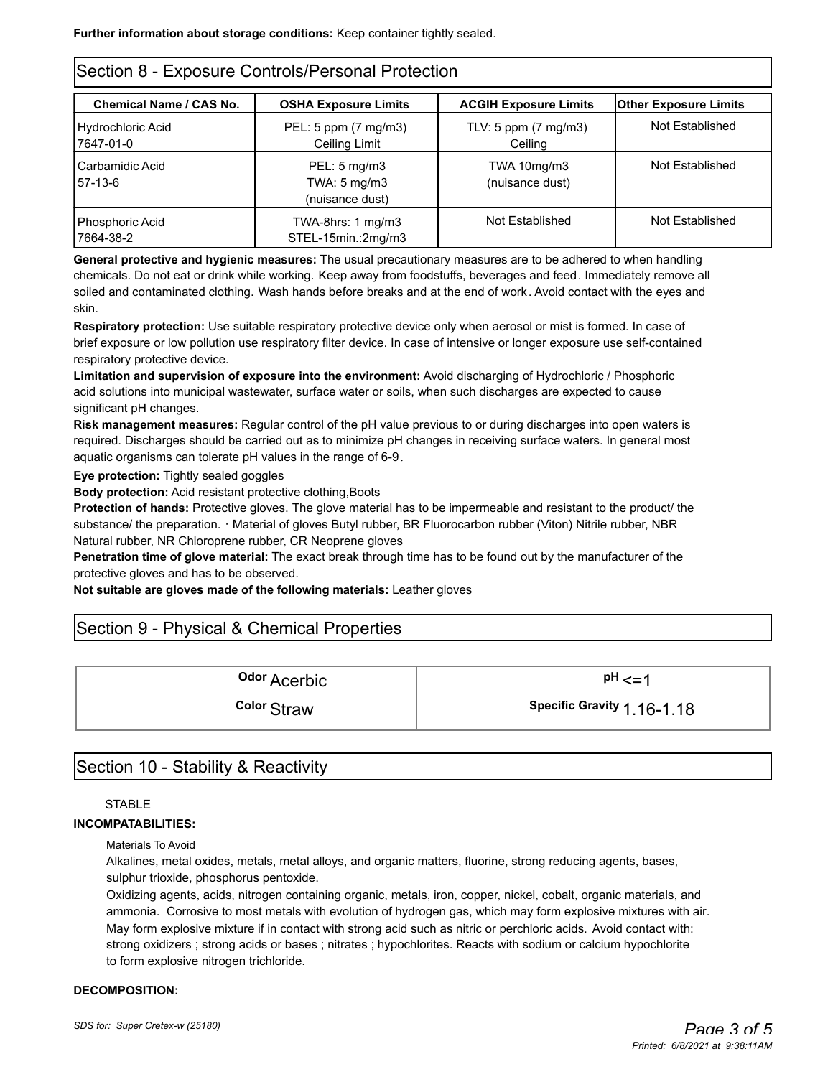### Section 8 - Exposure Controls/Personal Protection

| Chemical Name / CAS No.        | <b>OSHA Exposure Limits</b>                        | <b>ACGIH Exposure Limits</b>              | <b>Other Exposure Limits</b> |  |  |  |
|--------------------------------|----------------------------------------------------|-------------------------------------------|------------------------------|--|--|--|
| Hydrochloric Acid<br>7647-01-0 | PEL: 5 ppm (7 mg/m3)<br>Ceiling Limit              | TLV: 5 ppm $(7 \text{ mg/m3})$<br>Ceiling | Not Established              |  |  |  |
| Carbamidic Acid<br>57-13-6     | PEL: 5 mg/m3<br>TWA: 5 mg/m3<br>(nuisance dust)    | TWA 10mg/m3<br>(nuisance dust)            | Not Established              |  |  |  |
| Phosphoric Acid<br>7664-38-2   | TWA-8hrs: $1 \text{ mg/m}$ 3<br>STEL-15min.:2mg/m3 | Not Established                           | Not Established              |  |  |  |

**General protective and hygienic measures:** The usual precautionary measures are to be adhered to when handling chemicals. Do not eat or drink while working. Keep away from foodstuffs, beverages and feed. Immediately remove all soiled and contaminated clothing. Wash hands before breaks and at the end of work. Avoid contact with the eyes and skin.

**Respiratory protection:** Use suitable respiratory protective device only when aerosol or mist is formed. In case of brief exposure or low pollution use respiratory filter device. In case of intensive or longer exposure use self-contained respiratory protective device.

**Limitation and supervision of exposure into the environment:** Avoid discharging of Hydrochloric / Phosphoric acid solutions into municipal wastewater, surface water or soils, when such discharges are expected to cause significant pH changes.

**Risk management measures:** Regular control of the pH value previous to or during discharges into open waters is required. Discharges should be carried out as to minimize pH changes in receiving surface waters. In general most aquatic organisms can tolerate pH values in the range of 6-9.

**Eye protection:** Tightly sealed goggles

**Body protection:** Acid resistant protective clothing,Boots

**Protection of hands:** Protective gloves. The glove material has to be impermeable and resistant to the product/ the substance/ the preparation. · Material of gloves Butyl rubber, BR Fluorocarbon rubber (Viton) Nitrile rubber, NBR Natural rubber, NR Chloroprene rubber, CR Neoprene gloves

**Penetration time of glove material:** The exact break through time has to be found out by the manufacturer of the protective gloves and has to be observed.

**Not suitable are gloves made of the following materials:** Leather gloves

### Section 9 - Physical & Chemical Properties

**Odor** Acerbic **and Acerbic in the UPH**  $\leq$ 

**Color** Straw **1.16-1.18** Specific Gravity 1.16-1.18

### Section 10 - Stability & Reactivity

### **STABLE**

### **INCOMPATABILITIES:**

Materials To Avoid

Alkalines, metal oxides, metals, metal alloys, and organic matters, fluorine, strong reducing agents, bases, sulphur trioxide, phosphorus pentoxide.

Oxidizing agents, acids, nitrogen containing organic, metals, iron, copper, nickel, cobalt, organic materials, and ammonia. Corrosive to most metals with evolution of hydrogen gas, which may form explosive mixtures with air. May form explosive mixture if in contact with strong acid such as nitric or perchloric acids. Avoid contact with: strong oxidizers ; strong acids or bases ; nitrates ; hypochlorites. Reacts with sodium or calcium hypochlorite to form explosive nitrogen trichloride.

#### **DECOMPOSITION:**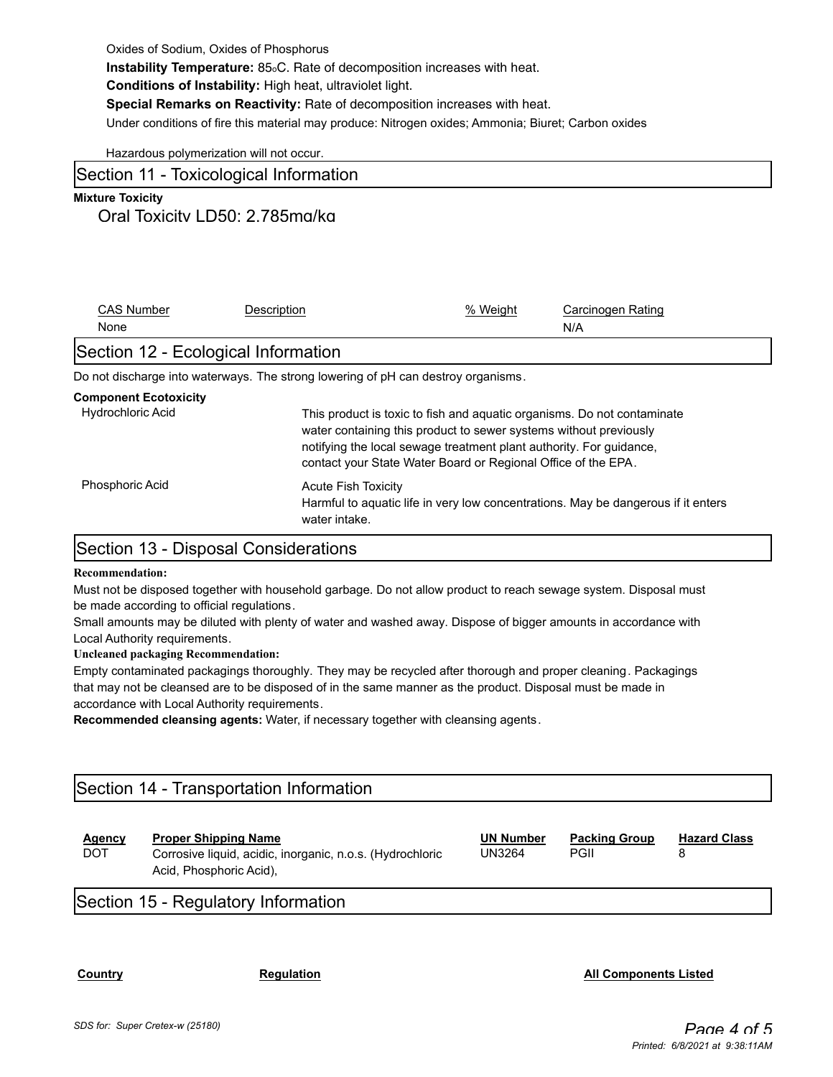**Instability Temperature:** 85oC. Rate of decomposition increases with heat.

**Conditions of Instability:** High heat, ultraviolet light.

**Special Remarks on Reactivity:** Rate of decomposition increases with heat.

Under conditions of fire this material may produce: Nitrogen oxides; Ammonia; Biuret; Carbon oxides

Hazardous polymerization will not occur.

### Section 11 - Toxicological Information

### **Mixture Toxicity**

### Oral Toxicity LD50: 2,785mg/kg

| <b>CAS Number</b>                                        | Description                                                                       | % Weight                                                                                                                                                                                                                                                                             | Carcinogen Rating                                                                 |  |  |
|----------------------------------------------------------|-----------------------------------------------------------------------------------|--------------------------------------------------------------------------------------------------------------------------------------------------------------------------------------------------------------------------------------------------------------------------------------|-----------------------------------------------------------------------------------|--|--|
| None                                                     |                                                                                   |                                                                                                                                                                                                                                                                                      | N/A                                                                               |  |  |
| Section 12 - Ecological Information                      |                                                                                   |                                                                                                                                                                                                                                                                                      |                                                                                   |  |  |
|                                                          | Do not discharge into waterways. The strong lowering of pH can destroy organisms. |                                                                                                                                                                                                                                                                                      |                                                                                   |  |  |
| <b>Component Ecotoxicity</b><br><b>Hydrochloric Acid</b> |                                                                                   | This product is toxic to fish and aquatic organisms. Do not contaminate<br>water containing this product to sewer systems without previously<br>notifying the local sewage treatment plant authority. For quidance,<br>contact your State Water Board or Regional Office of the EPA. |                                                                                   |  |  |
| <b>Phosphoric Acid</b>                                   | <b>Acute Fish Toxicity</b><br>water intake.                                       |                                                                                                                                                                                                                                                                                      | Harmful to aguatic life in very low concentrations. May be dangerous if it enters |  |  |

### Section 13 - Disposal Considerations

#### **Recommendation:**

Must not be disposed together with household garbage. Do not allow product to reach sewage system. Disposal must be made according to official regulations.

Small amounts may be diluted with plenty of water and washed away. Dispose of bigger amounts in accordance with Local Authority requirements.

#### **Uncleaned packaging Recommendation:**

Empty contaminated packagings thoroughly. They may be recycled after thorough and proper cleaning. Packagings that may not be cleansed are to be disposed of in the same manner as the product. Disposal must be made in accordance with Local Authority requirements.

**Recommended cleansing agents:** Water, if necessary together with cleansing agents.

# Section 14 - Transportation Information

| <b>Agency</b><br><b>DOT</b> | <b>Proper Shipping Name</b><br>Corrosive liquid, acidic, inorganic, n.o.s. (Hydrochloric<br>Acid, Phosphoric Acid), | <b>UN Number</b><br>UN3264 | <b>Packing Group</b><br>PGII | <b>Hazard Class</b> |
|-----------------------------|---------------------------------------------------------------------------------------------------------------------|----------------------------|------------------------------|---------------------|
|                             |                                                                                                                     |                            |                              |                     |

# Section 15 - Regulatory Information

**Country Country Regulation Regulation Regulation Regulation Regulation Regulation**